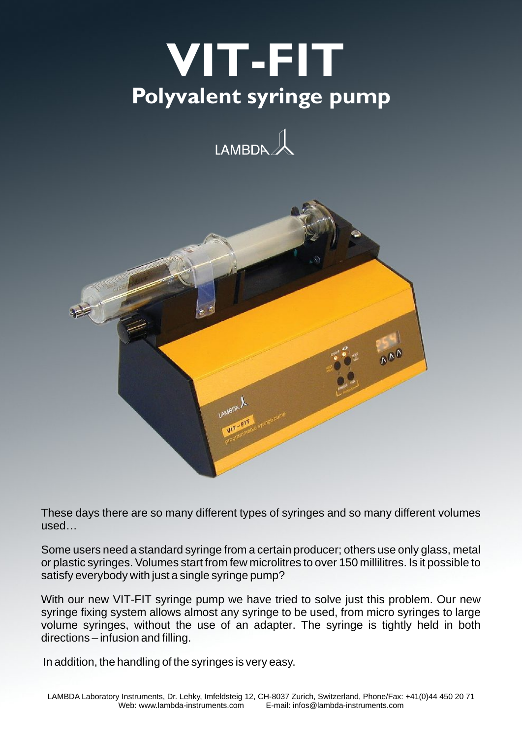# **Polyvalent syringe pump V I T - F I T**





These days there are so many different types of syringes and so many different volumes used…

Some users need a standard syringe from a certain producer; others use only glass, metal or plastic syringes. Volumes start from few microlitres to over 150 millilitres. Is it possible to satisfy everybody with just a single syringe pump?

With our new VIT-FIT syringe pump we have tried to solve just this problem. Our new syringe fixing system allows almost any syringe to be used, from micro syringes to large volume syringes, without the use of an adapter. The syringe is tightly held in both directions – infusion and filling.

In addition, the handling of the syringes is very easy.